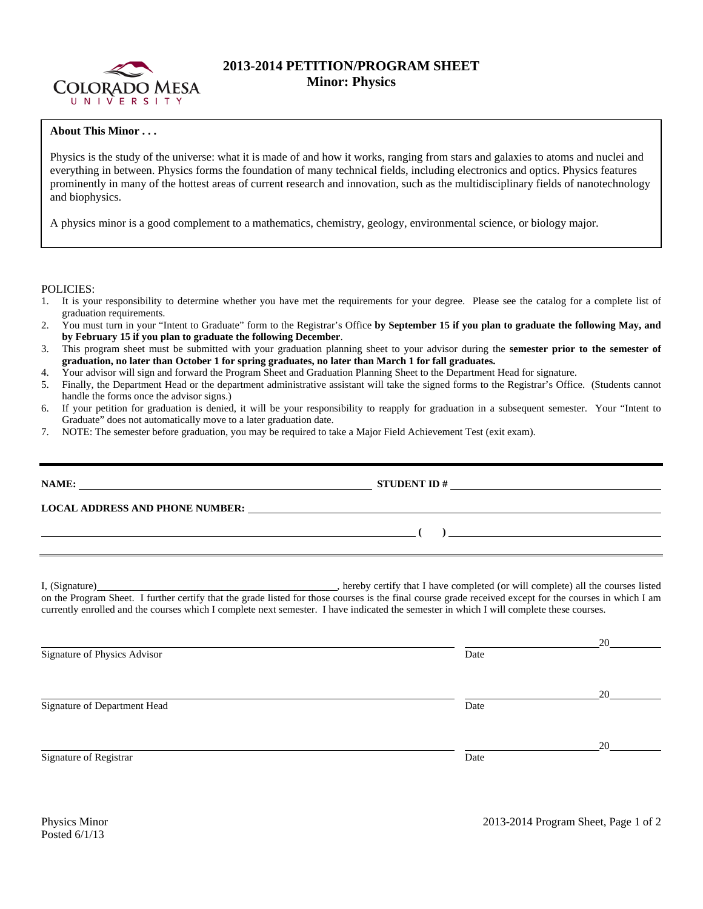

## **2013-2014 PETITION/PROGRAM SHEET Minor: Physics**

## **About This Minor . . .**

Physics is the study of the universe: what it is made of and how it works, ranging from stars and galaxies to atoms and nuclei and everything in between. Physics forms the foundation of many technical fields, including electronics and optics. Physics features prominently in many of the hottest areas of current research and innovation, such as the multidisciplinary fields of nanotechnology and biophysics.

A physics minor is a good complement to a mathematics, chemistry, geology, environmental science, or biology major.

POLICIES:

- 1. It is your responsibility to determine whether you have met the requirements for your degree. Please see the catalog for a complete list of graduation requirements.
- 2. You must turn in your "Intent to Graduate" form to the Registrar's Office **by September 15 if you plan to graduate the following May, and by February 15 if you plan to graduate the following December**.
- 3. This program sheet must be submitted with your graduation planning sheet to your advisor during the **semester prior to the semester of graduation, no later than October 1 for spring graduates, no later than March 1 for fall graduates.**
- 4. Your advisor will sign and forward the Program Sheet and Graduation Planning Sheet to the Department Head for signature.
- 5. Finally, the Department Head or the department administrative assistant will take the signed forms to the Registrar's Office. (Students cannot handle the forms once the advisor signs.)
- 6. If your petition for graduation is denied, it will be your responsibility to reapply for graduation in a subsequent semester. Your "Intent to Graduate" does not automatically move to a later graduation date.
- 7. NOTE: The semester before graduation, you may be required to take a Major Field Achievement Test (exit exam).

|  | STUDENT ID $\#$                                                                                                                                                                                                                                                                                     |  |  |  |  |  |  |
|--|-----------------------------------------------------------------------------------------------------------------------------------------------------------------------------------------------------------------------------------------------------------------------------------------------------|--|--|--|--|--|--|
|  |                                                                                                                                                                                                                                                                                                     |  |  |  |  |  |  |
|  | $\overline{\phantom{a}}$ ( ) $\overline{\phantom{a}}$                                                                                                                                                                                                                                               |  |  |  |  |  |  |
|  |                                                                                                                                                                                                                                                                                                     |  |  |  |  |  |  |
|  | on the Program Sheet. I further certify that the grade listed for those courses is the final course grade received except for the courses in which I am<br>currently enrolled and the courses which I complete next semester. I have indicated the semester in which I will complete these courses. |  |  |  |  |  |  |

|                              |      | 20 |
|------------------------------|------|----|
| Signature of Physics Advisor | Date |    |
|                              |      | 20 |
| Signature of Department Head | Date |    |
|                              |      | 20 |
| Signature of Registrar       | Date |    |